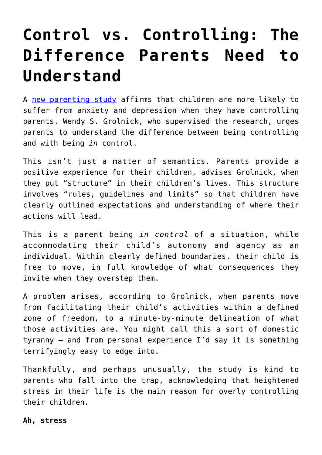## **[Control vs. Controlling: The](https://intellectualtakeout.org/2019/06/control-vs-controlling-the-difference-parents-need-to-understand/) [Difference Parents Need to](https://intellectualtakeout.org/2019/06/control-vs-controlling-the-difference-parents-need-to-understand/) [Understand](https://intellectualtakeout.org/2019/06/control-vs-controlling-the-difference-parents-need-to-understand/)**

A [new parenting study](https://www.childandfamilyblog.com/child-development/controlling-parenting/) affirms that children are more likely to suffer from anxiety and depression when they have controlling parents. Wendy S. Grolnick, who supervised the research, urges parents to understand the difference between being controlling and with being *in* control.

This isn't just a matter of semantics. Parents provide a positive experience for their children, advises Grolnick, when they put "structure" in their children's lives. This structure involves "rules, guidelines and limits" so that children have clearly outlined expectations and understanding of where their actions will lead.

This is a parent being *in control* of a situation, while accommodating their child's autonomy and agency as an individual. Within clearly defined boundaries, their child is free to move, in full knowledge of what consequences they invite when they overstep them.

A problem arises, according to Grolnick, when parents move from facilitating their child's activities within a defined zone of freedom, to a minute-by-minute delineation of what those activities are. You might call this a sort of domestic tyranny – and from personal experience I'd say it is something terrifyingly easy to edge into.

Thankfully, and perhaps unusually, the study is kind to parents who fall into the trap, acknowledging that heightened stress in their life is the main reason for overly controlling their children.

**Ah, stress**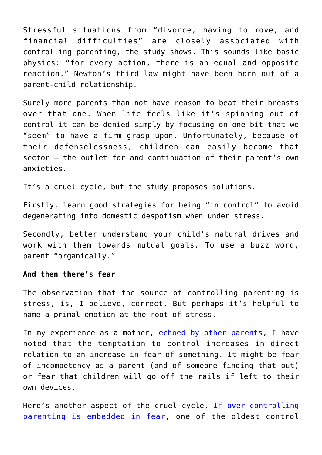Stressful situations from "divorce, having to move, and financial difficulties" are closely associated with controlling parenting, the study shows. This sounds like basic physics: "for every action, there is an equal and opposite reaction." Newton's third law might have been born out of a parent-child relationship.

Surely more parents than not have reason to beat their breasts over that one. When life feels like it's spinning out of control it can be denied simply by focusing on one bit that we "seem" to have a firm grasp upon. Unfortunately, because of their defenselessness, children can easily become that sector – the outlet for and continuation of their parent's own anxieties.

It's a cruel cycle, but the study proposes solutions.

Firstly, learn good strategies for being "in control" to avoid degenerating into domestic despotism when under stress.

Secondly, better understand your child's natural drives and work with them towards mutual goals. To use a buzz word, parent "organically."

## **And then there's fear**

The observation that the source of controlling parenting is stress, is, I believe, correct. But perhaps it's helpful to name a primal emotion at the root of stress.

In my experience as a mother, [echoed by other parents,](https://www.everythingmom.com/parenting/fear-parenting-tactic-ive-done) I have noted that the temptation to control increases in direct relation to an increase in fear of something. It might be fear of incompetency as a parent (and of someone finding that out) or fear that children will go off the rails if left to their own devices.

Here's another aspect of the cruel cycle. [If over-controlling](http://parentingbytheminute.com/raising-children/fear-based-parenting-when-fear-is-used-to-control-children) [parenting is embedded in fear,](http://parentingbytheminute.com/raising-children/fear-based-parenting-when-fear-is-used-to-control-children) one of the oldest control